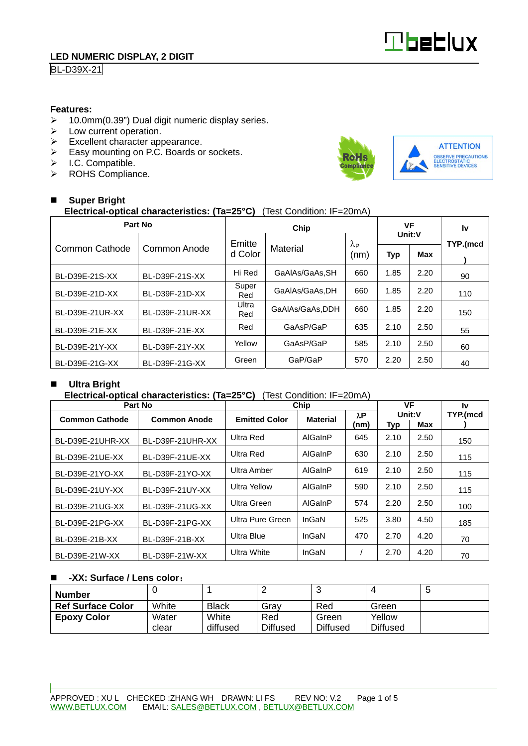

## **BL-D39X-21**

#### **Features:**

- 10.0mm(0.39") Dual digit numeric display series.
- $\triangleright$  Low current operation.
- $\triangleright$  Excellent character appearance.
- Easy mounting on P.C. Boards or sockets.
- $\triangleright$  I.C. Compatible.
- > ROHS Compliance.



## **Super Bright Electrical-optical characteristics: (Ta=25°C)** (Test Condition: IF=20mA)

| Part No         |                 |                     | VF              |                        | Ιv     |            |          |
|-----------------|-----------------|---------------------|-----------------|------------------------|--------|------------|----------|
|                 |                 | Emitte              |                 | $\lambda_{\mathsf{P}}$ | Unit:V |            | TYP.(mcd |
| Common Cathode  | Common Anode    | Material<br>d Color |                 | (nm)                   | Typ    | <b>Max</b> |          |
| BL-D39E-21S-XX  | BL-D39F-21S-XX  | Hi Red              | GaAIAs/GaAs.SH  | 660                    | 1.85   | 2.20       | 90       |
| BL-D39E-21D-XX  | BL-D39F-21D-XX  | Super<br>Red        | GaAIAs/GaAs.DH  | 660                    | 1.85   | 2.20       | 110      |
| BL-D39E-21UR-XX | BL-D39F-21UR-XX | Ultra<br>Red        | GaAlAs/GaAs,DDH | 660                    | 1.85   | 2.20       | 150      |
| BL-D39E-21E-XX  | BL-D39F-21E-XX  | Red                 | GaAsP/GaP       | 635                    | 2.10   | 2.50       | 55       |
| BL-D39E-21Y-XX  | BL-D39F-21Y-XX  | Yellow              | GaAsP/GaP       | 585                    | 2.10   | 2.50       | 60       |
| BL-D39E-21G-XX  | BL-D39F-21G-XX  | Green               | GaP/GaP         | 570                    | 2.20   | 2.50       | 40       |

### **Ultra Bright**

#### **Electrical-optical characteristics: (Ta=25°C)** (Test Condition: IF=20mA)

| Part No               |                     | Chip                 | VF              |      | 1v         |      |          |
|-----------------------|---------------------|----------------------|-----------------|------|------------|------|----------|
| <b>Common Cathode</b> | <b>Common Anode</b> | <b>Emitted Color</b> | <b>Material</b> | λP   | Unit:V     |      | TYP.(mcd |
|                       |                     |                      |                 | (nm) | <b>Typ</b> | Max  |          |
| BL-D39E-21UHR-XX      | BL-D39F-21UHR-XX    | Ultra Red            | AlGaInP         | 645  | 2.10       | 2.50 | 150      |
| BL-D39E-21UE-XX       | BL-D39F-21UE-XX     | Ultra Red            | AlGaInP         | 630  | 2.10       | 2.50 | 115      |
| BL-D39E-21YO-XX       | BL-D39F-21YO-XX     | Ultra Amber          | AlGaInP         | 619  | 2.10       | 2.50 | 115      |
| BL-D39E-21UY-XX       | BL-D39F-21UY-XX     | <b>Ultra Yellow</b>  | AlGaInP         | 590  | 2.10       | 2.50 | 115      |
| BL-D39E-21UG-XX       | BL-D39F-21UG-XX     | Ultra Green          | AlGaInP         | 574  | 2.20       | 2.50 | 100      |
| BL-D39E-21PG-XX       | BL-D39F-21PG-XX     | Ultra Pure Green     | InGaN           | 525  | 3.80       | 4.50 | 185      |
| BL-D39E-21B-XX        | BL-D39F-21B-XX      | Ultra Blue           | InGaN           | 470  | 2.70       | 4.20 | 70       |
| BL-D39E-21W-XX        | BL-D39F-21W-XX      | Ultra White          | InGaN           |      | 2.70       | 4.20 | 70       |

#### **-XX: Surface / Lens color**:

| <b>Number</b>            |       |              |                 |                 |                 | J |
|--------------------------|-------|--------------|-----------------|-----------------|-----------------|---|
| <b>Ref Surface Color</b> | White | <b>Black</b> | Grav            | Red             | Green           |   |
| <b>Epoxy Color</b>       | Water | White        | Red             | Green           | Yellow          |   |
|                          | clear | diffused     | <b>Diffused</b> | <b>Diffused</b> | <b>Diffused</b> |   |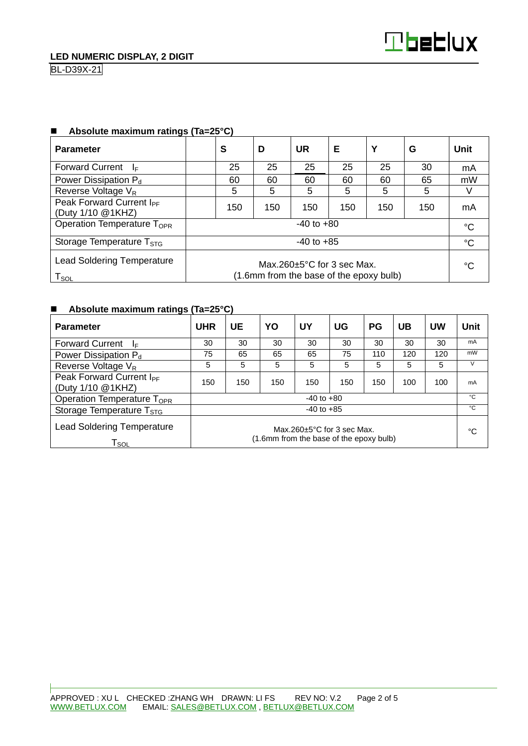| <b>Parameter</b>                                                                                                                                | S              | D   | <b>UR</b> | Е   | Y   | G   | Unit |
|-------------------------------------------------------------------------------------------------------------------------------------------------|----------------|-----|-----------|-----|-----|-----|------|
| <b>Forward Current</b><br>⊣⊧                                                                                                                    | 25             | 25  | 25        | 25  | 25  | 30  | mA   |
| Power Dissipation P <sub>d</sub>                                                                                                                | 60             | 60  | 60        | 60  | 60  | 65  | mW   |
| Reverse Voltage V <sub>R</sub>                                                                                                                  | 5              | 5   | 5         | 5   | 5   | 5   | V    |
| Peak Forward Current I <sub>PF</sub><br>(Duty 1/10 @1KHZ)                                                                                       | 150            | 150 | 150       | 150 | 150 | 150 | mA   |
| Operation Temperature T <sub>OPR</sub>                                                                                                          | $-40$ to $+80$ |     |           |     |     |     |      |
| Storage Temperature T <sub>STG</sub>                                                                                                            | $-40$ to $+85$ |     |           |     |     |     |      |
| <b>Lead Soldering Temperature</b><br>Max.260 $\pm$ 5°C for 3 sec Max.<br>(1.6mm from the base of the epoxy bulb)<br>$\mathsf{T}_{\mathsf{SOL}}$ |                |     |           |     |     | °C  |      |

## **Absolute maximum ratings (Ta=25°C)**

# **Absolute maximum ratings (Ta=25°C)**

| <b>Parameter</b>                                                                                                                                    | <b>UHR</b>     | UE  | YO  | UY  | UG  | <b>PG</b> | UB  | UW  | <b>Unit</b> |
|-----------------------------------------------------------------------------------------------------------------------------------------------------|----------------|-----|-----|-----|-----|-----------|-----|-----|-------------|
| <b>Forward Current</b><br>١⊧                                                                                                                        | 30             | 30  | 30  | 30  | 30  | 30        | 30  | 30  | mA          |
| Power Dissipation $P_d$                                                                                                                             | 75             | 65  | 65  | 65  | 75  | 110       | 120 | 120 | mW          |
| Reverse Voltage V <sub>R</sub>                                                                                                                      | 5              | 5   | 5   | 5   | 5   | 5         | 5   | 5   | V           |
| Peak Forward Current I <sub>PF</sub><br>(Duty 1/10 @1KHZ)                                                                                           | 150            | 150 | 150 | 150 | 150 | 150       | 100 | 100 | mA          |
| Operation Temperature T <sub>OPR</sub>                                                                                                              | $-40$ to $+80$ |     |     |     |     |           |     |     | °C          |
| Storage Temperature T <sub>STG</sub>                                                                                                                | $-40$ to $+85$ |     |     |     |     |           |     |     | °C          |
| <b>Lead Soldering Temperature</b><br>Max $260+5^{\circ}$ C for 3 sec Max.<br>(1.6mm from the base of the epoxy bulb)<br>$\mathsf{T}_{\mathsf{SOL}}$ |                |     |     |     |     | °C        |     |     |             |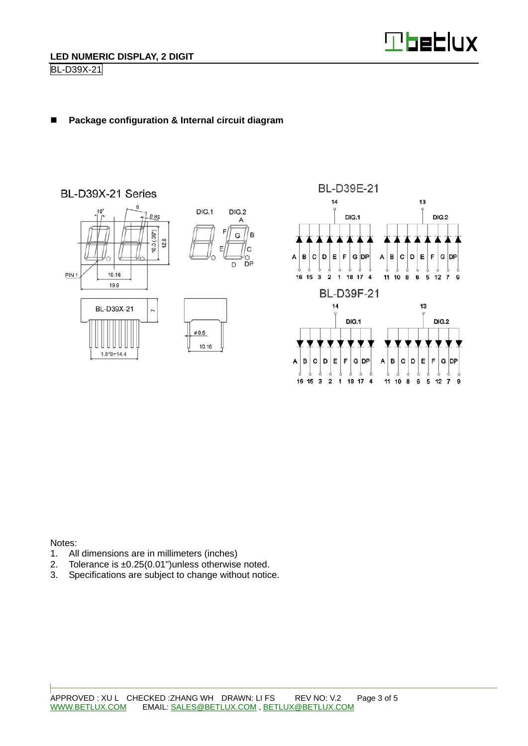

## ■ Package configuration & Internal circuit diagram



Notes:

- 1. All dimensions are in millimeters (inches)
- 2. Tolerance is ±0.25(0.01")unless otherwise noted.
- 3. Specifications are subject to change without notice.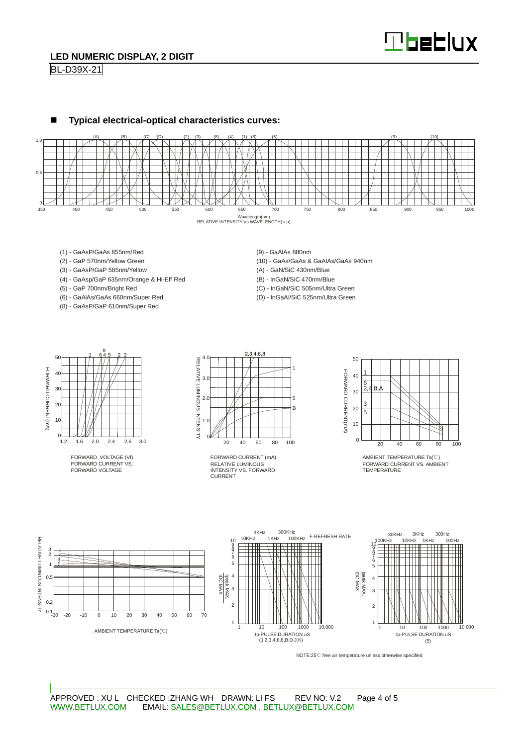

### **LED NUMERIC DISPLAY, 2 DIGIT**

BL-D39X-21



- (1) GaAsP/GaAs 655nm/Red
- (2) GaP 570nm/Yellow Green
- (3) GaAsP/GaP 585nm/Yellow
- (4) GaAsp/GaP 635nm/Orange & Hi-Eff Red
- (5) GaP 700nm/Bright Red
- (6) GaAlAs/GaAs 660nm/Super Red
- (8) GaAsP/GaP 610nm/Super Red
- (9) GaAlAs 880nm
- (10) GaAs/GaAs & GaAlAs/GaAs 940nm
- (A) GaN/SiC 430nm/Blue
- (B) InGaN/SiC 470nm/Blue
- (C) InGaN/SiC 505nm/Ultra Green
- (D) InGaAl/SiC 525nm/Ultra Green



FORWARD VOLTAGE (Vf) FORWARD CURRENT VS. FORWARD VOLTAGE



RELATIVE LUMINOUS INTENSITY VS. FORWARD **CURRENT** FORWARD CURRENT (mA)



AMBIENT TEMPERATURE Ta(°C) FORWARD CURRENT VS. AMBIENT TEMPERATURE



NOTE:25℃ free air temperature unless otherwise specified